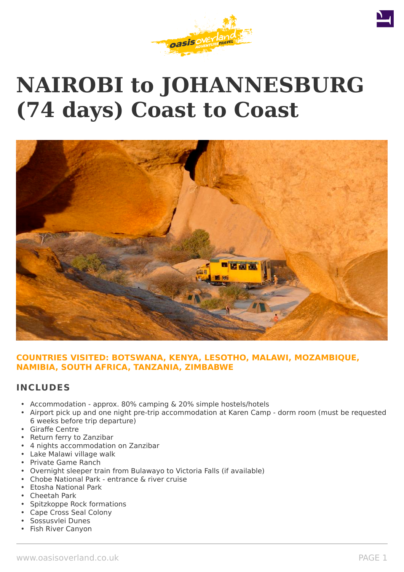

# **NAIROBI to JOHANNESBURG (74 days) Coast to Coast**



# **COUNTRIES VISITED: BOTSWANA, KENYA, LESOTHO, MALAWI, MOZAMBIQUE, NAMIBIA, SOUTH AFRICA, TANZANIA, ZIMBABWE**

# **INCLUDES**

- Accommodation approx. 80% camping & 20% simple hostels/hotels
- Airport pick up and one night pre-trip accommodation at Karen Camp dorm room (must be requested 6 weeks before trip departure)
- Giraffe Centre
- Return ferry to Zanzibar
- 4 nights accommodation on Zanzibar
- Lake Malawi village walk
- Private Game Ranch
- Overnight sleeper train from Bulawayo to Victoria Falls (if available)
- Chobe National Park entrance & river cruise
- Etosha National Park
- Cheetah Park
- Spitzkoppe Rock formations
- Cape Cross Seal Colony
- Sossusvlei Dunes
- Fish River Canyon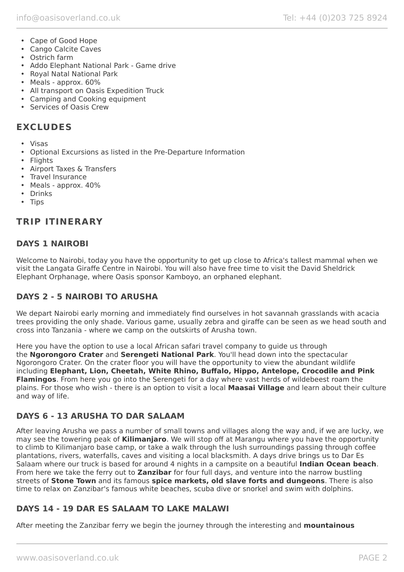- Cape of Good Hope
- Cango Calcite Caves
- Ostrich farm
- Addo Elephant National Park Game drive
- Royal Natal National Park
- Meals approx. 60%
- All transport on Oasis Expedition Truck
- Camping and Cooking equipment
- Services of Oasis Crew

# **EXCLUDES**

- Visas
- Optional Excursions as listed in the Pre-Departure Information
- Flights
- Airport Taxes & Transfers
- Travel Insurance
- Meals approx. 40%
- Drinks
- Tips

# **TRIP ITINERARY**

# **DAYS 1 NAIROBI**

Welcome to Nairobi, today you have the opportunity to get up close to Africa's tallest mammal when we visit the Langata Giraffe Centre in Nairobi. You will also have free time to visit the David Sheldrick Elephant Orphanage, where Oasis sponsor Kamboyo, an orphaned elephant.

# **DAYS 2 - 5 NAIROBI TO ARUSHA**

We depart Nairobi early morning and immediately find ourselves in hot savannah grasslands with acacia trees providing the only shade. Various game, usually zebra and giraffe can be seen as we head south and cross into Tanzania - where we camp on the outskirts of Arusha town.

Here you have the option to use a local African safari travel company to guide us through the **Ngorongoro Crater** and **Serengeti National Park**. You'll head down into the spectacular Ngorongoro Crater. On the crater floor you will have the opportunity to view the abundant wildlife including **Elephant, Lion, Cheetah, White Rhino, Buffalo, Hippo, Antelope, Crocodile and Pink Flamingos**. From here you go into the Serengeti for a day where vast herds of wildebeest roam the plains. For those who wish - there is an option to visit a local **Maasai Village** and learn about their culture and way of life.

# **DAYS 6 - 13 ARUSHA TO DAR SALAAM**

After leaving Arusha we pass a number of small towns and villages along the way and, if we are lucky, we may see the towering peak of **Kilimanjaro**. We will stop off at Marangu where you have the opportunity to climb to Kilimanjaro base camp, or take a walk through the lush surroundings passing through coffee plantations, rivers, waterfalls, caves and visiting a local blacksmith. A days drive brings us to Dar Es Salaam where our truck is based for around 4 nights in a campsite on a beautiful **Indian Ocean beach**. From here we take the ferry out to **Zanzibar** for four full days, and venture into the narrow bustling streets of **Stone Town** and its famous **spice markets, old slave forts and dungeons**. There is also time to relax on Zanzibar's famous white beaches, scuba dive or snorkel and swim with dolphins.

# **DAYS 14 - 19 DAR ES SALAAM TO LAKE MALAWI**

After meeting the Zanzibar ferry we begin the journey through the interesting and **mountainous**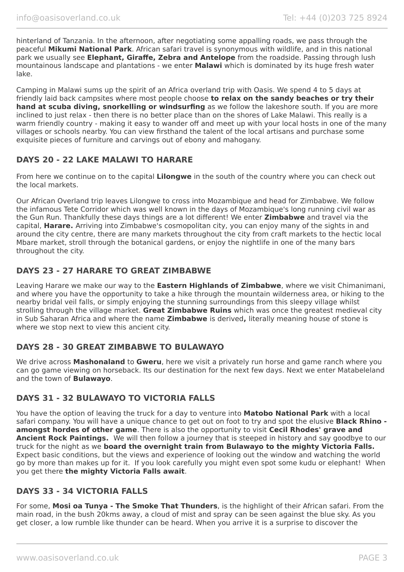hinterland of Tanzania. In the afternoon, after negotiating some appalling roads, we pass through the peaceful **Mikumi National Park**. African safari travel is synonymous with wildlife, and in this national park we usually see **Elephant, Giraffe, Zebra and Antelope** from the roadside. Passing through lush mountainous landscape and plantations - we enter **Malawi** which is dominated by its huge fresh water lake.

Camping in Malawi sums up the spirit of an Africa overland trip with Oasis. We spend 4 to 5 days at friendly laid back campsites where most people choose **to relax on the sandy beaches or try their hand at scuba diving, snorkelling or windsurfing** as we follow the lakeshore south. If you are more inclined to just relax - then there is no better place than on the shores of Lake Malawi. This really is a warm friendly country - making it easy to wander off and meet up with your local hosts in one of the many villages or schools nearby. You can view firsthand the talent of the local artisans and purchase some exquisite pieces of furniture and carvings out of ebony and mahogany.

# **DAYS 20 - 22 LAKE MALAWI TO HARARE**

From here we continue on to the capital **Lilongwe** in the south of the country where you can check out the local markets.

Our African Overland trip leaves Lilongwe to cross into Mozambique and head for Zimbabwe. We follow the infamous Tete Corridor which was well known in the days of Mozambique's long running civil war as the Gun Run. Thankfully these days things are a lot different! We enter **Zimbabwe** and travel via the capital, **Harare.** Arriving into Zimbabwe's cosmopolitan city, you can enjoy many of the sights in and around the city centre, there are many markets throughout the city from craft markets to the hectic local Mbare market, stroll through the botanical gardens, or enjoy the nightlife in one of the many bars throughout the city.

# **DAYS 23 - 27 HARARE TO GREAT ZIMBABWE**

Leaving Harare we make our way to the **Eastern Highlands of Zimbabwe**, where we visit Chimanimani, and where you have the opportunity to take a hike through the mountain wilderness area, or hiking to the nearby bridal veil falls, or simply enjoying the stunning surroundings from this sleepy village whilst strolling through the village market. **Great Zimbabwe Ruins** which was once the greatest medieval city in Sub Saharan Africa and where the name **Zimbabwe** is derived**,** literally meaning house of stone is where we stop next to view this ancient city.

# **DAYS 28 - 30 GREAT ZIMBABWE TO BULAWAYO**

We drive across **Mashonaland** to **Gweru**, here we visit a privately run horse and game ranch where you can go game viewing on horseback. Its our destination for the next few days. Next we enter Matabeleland and the town of **Bulawayo**.

# **DAYS 31 - 32 BULAWAYO TO VICTORIA FALLS**

You have the option of leaving the truck for a day to venture into **Matobo National Park** with a local safari company. You will have a unique chance to get out on foot to try and spot the elusive **Black Rhino amongst hordes of other game**. There is also the opportunity to visit **Cecil Rhodes' grave and Ancient Rock Paintings.** We will then follow a journey that is steeped in history and say goodbye to our truck for the night as we **board the overnight train from Bulawayo to the mighty Victoria Falls.** Expect basic conditions, but the views and experience of looking out the window and watching the world go by more than makes up for it. If you look carefully you might even spot some kudu or elephant! When you get there **the mighty Victoria Falls await**.

# **DAYS 33 - 34 VICTORIA FALLS**

For some, **Mosi oa Tunya - The Smoke That Thunders**, is the highlight of their African safari. From the main road, in the bush 20kms away, a cloud of mist and spray can be seen against the blue sky. As you get closer, a low rumble like thunder can be heard. When you arrive it is a surprise to discover the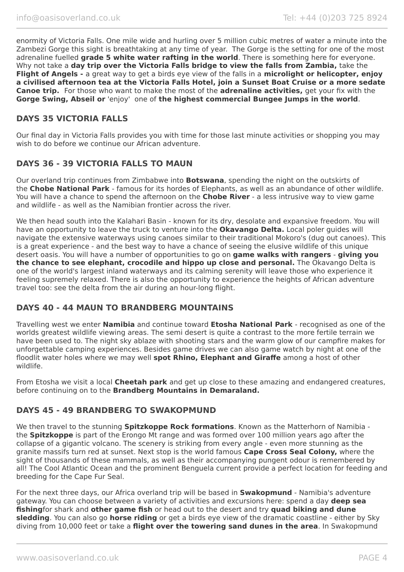enormity of Victoria Falls. One mile wide and hurling over 5 million cubic metres of water a minute into the Zambezi Gorge this sight is breathtaking at any time of year. The Gorge is the setting for one of the most adrenaline fuelled **grade 5 white water rafting in the world**. There is something here for everyone. Why not take a **day trip over the Victoria Falls bridge to view the falls from Zambia,** take the **Flight of Angels -** a great way to get a birds eye view of the falls in a **microlight or helicopter, enjoy a civilised afternoon tea at the Victoria Falls Hotel, join a Sunset Boat Cruise or a more sedate Canoe trip.** For those who want to make the most of the **adrenaline activities,** get your fix with the **Gorge Swing, Abseil or** 'enjoy' one of **the highest commercial Bungee Jumps in the world**.

# **DAYS 35 VICTORIA FALLS**

Our final day in Victoria Falls provides you with time for those last minute activities or shopping you may wish to do before we continue our African adventure.

# **DAYS 36 - 39 VICTORIA FALLS TO MAUN**

Our overland trip continues from Zimbabwe into **Botswana**, spending the night on the outskirts of the **Chobe National Park** - famous for its hordes of Elephants, as well as an abundance of other wildlife. You will have a chance to spend the afternoon on the **Chobe River** - a less intrusive way to view game and wildlife - as well as the Namibian frontier across the river.

We then head south into the Kalahari Basin - known for its dry, desolate and expansive freedom. You will have an opportunity to leave the truck to venture into the **Okavango Delta.** Local poler guides will navigate the extensive waterways using canoes similar to their traditional Mokoro's (dug out canoes). This is a great experience - and the best way to have a chance of seeing the elusive wildlife of this unique desert oasis. You will have a number of opportunities to go on **game walks with rangers** - **giving you the chance to see elephant, crocodile and hippo up close and personal.** The Okavango Delta is one of the world's largest inland waterways and its calming serenity will leave those who experience it feeling supremely relaxed. There is also the opportunity to experience the heights of African adventure travel too: see the delta from the air during an hour-long flight.

#### **DAYS 40 - 44 MAUN TO BRANDBERG MOUNTAINS**

Travelling west we enter **Namibia** and continue toward **Etosha National Park** - recognised as one of the worlds greatest wildlife viewing areas. The semi desert is quite a contrast to the more fertile terrain we have been used to. The night sky ablaze with shooting stars and the warm glow of our campfire makes for unforgettable camping experiences. Besides game drives we can also game watch by night at one of the floodlit water holes where we may well **spot Rhino, Elephant and Giraffe** among a host of other wildlife.

From Etosha we visit a local **Cheetah park** and get up close to these amazing and endangered creatures, before continuing on to the **Brandberg Mountains in Demaraland.**

#### **DAYS 45 - 49 BRANDBERG TO SWAKOPMUND**

We then travel to the stunning **Spitzkoppe Rock formations**. Known as the Matterhorn of Namibia the **Spitzkoppe** is part of the Erongo Mt range and was formed over 100 million years ago after the collapse of a gigantic volcano. The scenery is striking from every angle - even more stunning as the granite massifs turn red at sunset. Next stop is the world famous **Cape Cross Seal Colony,** where the sight of thousands of these mammals, as well as their accompanying pungent odour is remembered by all! The Cool Atlantic Ocean and the prominent Benguela current provide a perfect location for feeding and breeding for the Cape Fur Seal.

For the next three days, our Africa overland trip will be based in **Swakopmund** - Namibia's adventure gateway. You can choose between a variety of activities and excursions here: spend a day **deep sea fishing**for shark and **other game fish** or head out to the desert and try **quad biking and dune sledding**. You can also go **horse riding** or get a birds eye view of the dramatic coastline - either by Sky diving from 10,000 feet or take a **flight over the towering sand dunes in the area**. In Swakopmund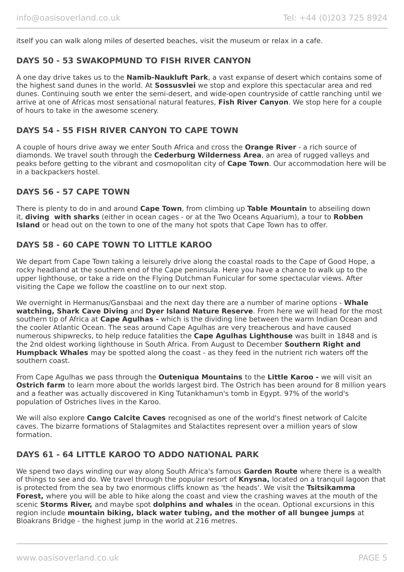itself you can walk along miles of deserted beaches, visit the museum or relax in a cafe.

# **DAYS 50 - 53 SWAKOPMUND TO FISH RIVER CANYON**

A one day drive takes us to the **Namib-Naukluft Park**, a vast expanse of desert which contains some of the highest sand dunes in the world. At **Sossusvlei** we stop and explore this spectacular area and red dunes. Continuing south we enter the semi-desert, and wide-open countryside of cattle ranching until we arrive at one of Africas most sensational natural features, **Fish River Canyon**. We stop here for a couple of hours to take in the awesome scenery.

# **DAYS 54 - 55 FISH RIVER CANYON TO CAPE TOWN**

A couple of hours drive away we enter South Africa and cross the **Orange River** - a rich source of diamonds. We travel south through the **Cederburg Wilderness Area**, an area of rugged valleys and peaks before getting to the vibrant and cosmopolitan city of **Cape Town**. Our accommodation here will be in a backpackers hostel.

#### **DAYS 56 - 57 CAPE TOWN**

There is plenty to do in and around **Cape Town**, from climbing up **Table Mountain** to abseiling down it, **diving with sharks** (either in ocean cages - or at the Two Oceans Aquarium), a tour to **Robben Island** or head out on the town to one of the many hot spots that Cape Town has to offer.

# **DAYS 58 - 60 CAPE TOWN TO LITTLE KAROO**

We depart from Cape Town taking a leisurely drive along the coastal roads to the Cape of Good Hope, a rocky headland at the southern end of the Cape peninsula. Here you have a chance to walk up to the upper lighthouse, or take a ride on the Flying Dutchman Funicular for some spectacular views. After visiting the Cape we follow the coastline on to our next stop.

We overnight in Hermanus/Gansbaai and the next day there are a number of marine options - **Whale watching, Shark Cave Diving** and **Dyer Island Nature Reserve**. From here we will head for the most southern tip of Africa at **Cape Agulhas -** which is the dividing line between the warm Indian Ocean and the cooler Atlantic Ocean. The seas around Cape Agulhas are very treacherous and have caused numerous shipwrecks, to help reduce fatalities the **Cape Agulhas Lighthouse** was built in 1848 and is the 2nd oldest working lighthouse in South Africa. From August to December **Southern Right and Humpback Whales** may be spotted along the coast - as they feed in the nutrient rich waters off the southern coast.

From Cape Agulhas we pass through the **Outeniqua Mountains** to the **Little Karoo -** we will visit an **Ostrich farm** to learn more about the worlds largest bird. The Ostrich has been around for 8 million years and a feather was actually discovered in King Tutankhamun's tomb in Egypt. 97% of the world's population of Ostriches lives in the Karoo.

We will also explore **Cango Calcite Caves** recognised as one of the world's finest network of Calcite caves. The bizarre formations of Stalagmites and Stalactites represent over a million years of slow formation.

#### **DAYS 61 - 64 LITTLE KAROO TO ADDO NATIONAL PARK**

We spend two days winding our way along South Africa's famous **Garden Route** where there is a wealth of things to see and do. We travel through the popular resort of **Knysna,** located on a tranquil lagoon that is protected from the sea by two enormous cliffs known as 'the heads'. We visit the **Tsitsikamma Forest,** where you will be able to hike along the coast and view the crashing waves at the mouth of the scenic **Storms River,** and maybe spot **dolphins and whales** in the ocean. Optional excursions in this region include **mountain biking, black water tubing, and the mother of all bungee jumps** at Bloakrans Bridge - the highest jump in the world at 216 metres.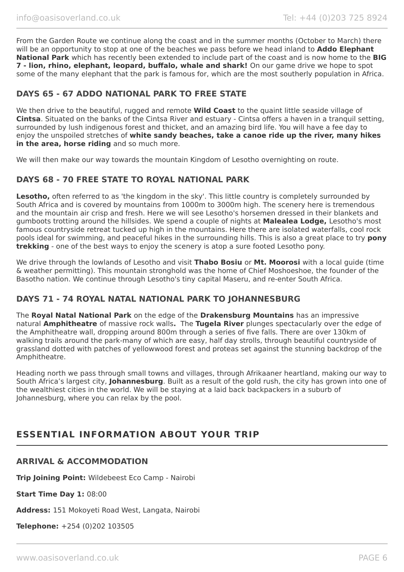From the Garden Route we continue along the coast and in the summer months (October to March) there will be an opportunity to stop at one of the beaches we pass before we head inland to **Addo Elephant National Park** which has recently been extended to include part of the coast and is now home to the **BIG 7 - lion, rhino, elephant, leopard, buffalo, whale and shark!** On our game drive we hope to spot some of the many elephant that the park is famous for, which are the most southerly population in Africa.

# **DAYS 65 - 67 ADDO NATIONAL PARK TO FREE STATE**

We then drive to the beautiful, rugged and remote **Wild Coast** to the quaint little seaside village of **Cintsa**. Situated on the banks of the Cintsa River and estuary - Cintsa offers a haven in a tranquil setting, surrounded by lush indigenous forest and thicket, and an amazing bird life. You will have a fee day to enjoy the unspoiled stretches of **white sandy beaches, take a canoe ride up the river, many hikes in the area, horse riding** and so much more.

We will then make our way towards the mountain Kingdom of Lesotho overnighting on route.

# **DAYS 68 - 70 FREE STATE TO ROYAL NATIONAL PARK**

Lesotho, often referred to as 'the kingdom in the sky'. This little country is completely surrounded by South Africa and is covered by mountains from 1000m to 3000m high. The scenery here is tremendous and the mountain air crisp and fresh. Here we will see Lesotho's horsemen dressed in their blankets and gumboots trotting around the hillsides. We spend a couple of nights at **Malealea Lodge,** Lesotho's most famous countryside retreat tucked up high in the mountains. Here there are isolated waterfalls, cool rock pools ideal for swimming, and peaceful hikes in the surrounding hills. This is also a great place to try **pony trekking** - one of the best ways to enjoy the scenery is atop a sure footed Lesotho pony.

We drive through the lowlands of Lesotho and visit **Thabo Bosiu** or **Mt. Moorosi** with a local guide (time & weather permitting). This mountain stronghold was the home of Chief Moshoeshoe, the founder of the Basotho nation. We continue through Lesotho's tiny capital Maseru, and re-enter South Africa.

# **DAYS 71 - 74 ROYAL NATAL NATIONAL PARK TO JOHANNESBURG**

The **Royal Natal National Park** on the edge of the **Drakensburg Mountains** has an impressive natural **Amphitheatre** of massive rock walls**.** The **Tugela River** plunges spectacularly over the edge of the Amphitheatre wall, dropping around 800m through a series of five falls. There are over 130km of walking trails around the park-many of which are easy, half day strolls, through beautiful countryside of grassland dotted with patches of yellowwood forest and proteas set against the stunning backdrop of the Amphitheatre.

Heading north we pass through small towns and villages, through Afrikaaner heartland, making our way to South Africa's largest city, **Johannesburg**. Built as a result of the gold rush, the city has grown into one of the wealthiest cities in the world. We will be staying at a laid back backpackers in a suburb of Johannesburg, where you can relax by the pool.

# **ESSENTIAL INFORMATION ABOUT YOUR TRIP**

# **ARRIVAL & ACCOMMODATION**

**Trip Joining Point:** Wildebeest Eco Camp - Nairobi

**Start Time Day 1:** 08:00

**Address:** 151 Mokoyeti Road West, Langata, Nairobi

**Telephone:** +254 (0)202 103505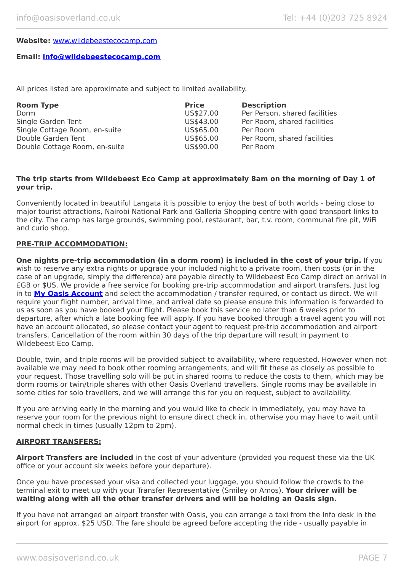#### **Website:** [www.wildebeestecocamp.com](http://www.wildebeestecocamp.com/)

#### **Email: [info@wildebeestecocamp.com](mailto:info@wildebeestecocamp.com)**

All prices listed are approximate and subject to limited availability.

| <b>Room Type</b>              | <b>Price</b> | <b>Description</b>            |
|-------------------------------|--------------|-------------------------------|
| Dorm                          | US\$27.00    | Per Person, shared facilities |
| Single Garden Tent            | US\$43.00    | Per Room, shared facilities   |
| Single Cottage Room, en-suite | US\$65.00    | Per Room                      |
| Double Garden Tent            | US\$65.00    | Per Room, shared facilities   |
| Double Cottage Room, en-suite | US\$90.00    | Per Room                      |

#### **The trip starts from Wildebeest Eco Camp at approximately 8am on the morning of Day 1 of your trip.**

Conveniently located in beautiful Langata it is possible to enjoy the best of both worlds - being close to major tourist attractions, Nairobi National Park and Galleria Shopping centre with good transport links to the city. The camp has large grounds, swimming pool, restaurant, bar, t.v. room, communal fire pit, WiFi and curio shop.

#### **PRE-TRIP ACCOMMODATION:**

**One nights pre-trip accommodation (in a dorm room) is included in the cost of your trip.** If you wish to reserve any extra nights or upgrade your included night to a private room, then costs (or in the case of an upgrade, simply the difference) are payable directly to Wildebeest Eco Camp direct on arrival in £GB or \$US. We provide a free service for booking pre-trip accommodation and airport transfers. Just log in to **[My Oasis Account](https://oasisportal.eecsoftware.com/login.php)** and select the accommodation / transfer required, or contact us direct. We will require your flight number, arrival time, and arrival date so please ensure this information is forwarded to us as soon as you have booked your flight. Please book this service no later than 6 weeks prior to departure, after which a late booking fee will apply. If you have booked through a travel agent you will not have an account allocated, so please contact your agent to request pre-trip accommodation and airport transfers. Cancellation of the room within 30 days of the trip departure will result in payment to Wildebeest Eco Camp.

Double, twin, and triple rooms will be provided subject to availability, where requested. However when not available we may need to book other rooming arrangements, and will fit these as closely as possible to your request. Those travelling solo will be put in shared rooms to reduce the costs to them, which may be dorm rooms or twin/triple shares with other Oasis Overland travellers. Single rooms may be available in some cities for solo travellers, and we will arrange this for you on request, subject to availability.

If you are arriving early in the morning and you would like to check in immediately, you may have to reserve your room for the previous night to ensure direct check in, otherwise you may have to wait until normal check in times (usually 12pm to 2pm).

#### **AIRPORT TRANSFERS:**

Airport Transfers are included in the cost of your adventure (provided you request these via the UK office or your account six weeks before your departure).

Once you have processed your visa and collected your luggage, you should follow the crowds to the terminal exit to meet up with your Transfer Representative (Smiley or Amos). **Your driver will be waiting along with all the other transfer drivers and will be holding an Oasis sign.**

If you have not arranged an airport transfer with Oasis, you can arrange a taxi from the Info desk in the airport for approx. \$25 USD. The fare should be agreed before accepting the ride - usually payable in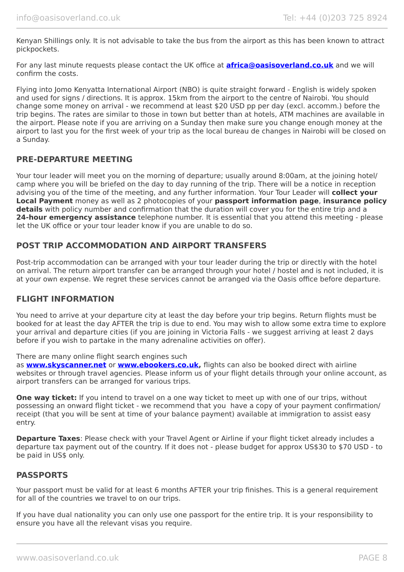Kenyan Shillings only. It is not advisable to take the bus from the airport as this has been known to attract pickpockets.

For any last minute requests please contact the UK office at **[africa@oasisoverland.co.uk](mailto:africa@oasisoverland.co.uk)** and we will confirm the costs.

Flying into Jomo Kenyatta International Airport (NBO) is quite straight forward - English is widely spoken and used for signs / directions. It is approx. 15km from the airport to the centre of Nairobi. You should change some money on arrival - we recommend at least \$20 USD pp per day (excl. accomm.) before the trip begins. The rates are similar to those in town but better than at hotels, ATM machines are available in the airport. Please note if you are arriving on a Sunday then make sure you change enough money at the airport to last you for the first week of your trip as the local bureau de changes in Nairobi will be closed on a Sunday.

#### **PRE-DEPARTURE MEETING**

Your tour leader will meet you on the morning of departure; usually around 8:00am, at the joining hotel/ camp where you will be briefed on the day to day running of the trip. There will be a notice in reception advising you of the time of the meeting, and any further information. Your Tour Leader will **collect your Local Payment** money as well as 2 photocopies of your **passport information page**, **insurance policy details** with policy number and confirmation that the duration will cover you for the entire trip and a **24-hour emergency assistance** telephone number. It is essential that you attend this meeting - please let the UK office or your tour leader know if you are unable to do so.

# **POST TRIP ACCOMMODATION AND AIRPORT TRANSFERS**

Post-trip accommodation can be arranged with your tour leader during the trip or directly with the hotel on arrival. The return airport transfer can be arranged through your hotel / hostel and is not included, it is at your own expense. We regret these services cannot be arranged via the Oasis office before departure.

#### **FLIGHT INFORMATION**

You need to arrive at your departure city at least the day before your trip begins. Return flights must be booked for at least the day AFTER the trip is due to end. You may wish to allow some extra time to explore your arrival and departure cities (if you are joining in Victoria Falls - we suggest arriving at least 2 days before if you wish to partake in the many adrenaline activities on offer).

There are many online flight search engines such

as **[www.skyscanner.net](http://www.dpbolvw.net/click-5720161-10639348)** or **[www.ebookers.co.uk,](http://www.ebookers.co.uk/)** flights can also be booked direct with airline websites or through travel agencies. Please inform us of your flight details through your online account, as airport transfers can be arranged for various trips.

**One way ticket:** If you intend to travel on a one way ticket to meet up with one of our trips, without possessing an onward flight ticket - we recommend that you have a copy of your payment confirmation/ receipt (that you will be sent at time of your balance payment) available at immigration to assist easy entry.

**Departure Taxes**: Please check with your Travel Agent or Airline if your flight ticket already includes a departure tax payment out of the country. If it does not - please budget for approx US\$30 to \$70 USD - to be paid in US\$ only.

# **PASSPORTS**

Your passport must be valid for at least 6 months AFTER your trip finishes. This is a general requirement for all of the countries we travel to on our trips.

If you have dual nationality you can only use one passport for the entire trip. It is your responsibility to ensure you have all the relevant visas you require.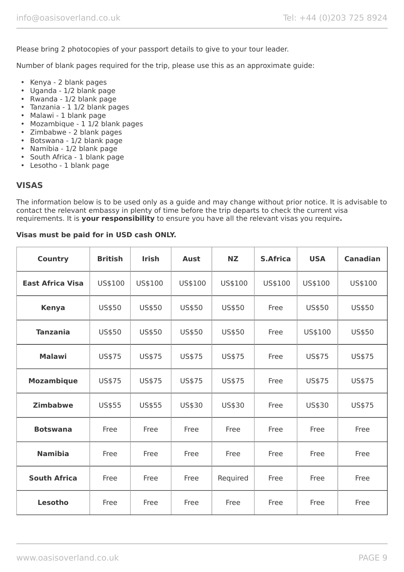Please bring 2 photocopies of your passport details to give to your tour leader.

Number of blank pages required for the trip, please use this as an approximate guide:

- Kenya 2 blank pages
- Uganda 1/2 blank page
- Rwanda 1/2 blank page
- Tanzania 1 1/2 blank pages
- Malawi 1 blank page
- Mozambique 1 1/2 blank pages
- Zimbabwe 2 blank pages
- Botswana 1/2 blank page
- Namibia 1/2 blank page
- South Africa 1 blank page
- Lesotho 1 blank page

#### **VISAS**

The information below is to be used only as a guide and may change without prior notice. It is advisable to contact the relevant embassy in plenty of time before the trip departs to check the current visa requirements. It is **your responsibility** to ensure you have all the relevant visas you require**.**

#### **Visas must be paid for in USD cash ONLY.**

| <b>Country</b>          | <b>British</b> | <b>Irish</b>  | <b>Aust</b> | <b>NZ</b> | <b>S.Africa</b> | <b>USA</b> | <b>Canadian</b> |
|-------------------------|----------------|---------------|-------------|-----------|-----------------|------------|-----------------|
| <b>East Africa Visa</b> | US\$100        | US\$100       | US\$100     | US\$100   | US\$100         | US\$100    | US\$100         |
| <b>Kenya</b>            | US\$50         | US\$50        | US\$50      | US\$50    | Free            | US\$50     | US\$50          |
| <b>Tanzania</b>         | US\$50         | US\$50        | US\$50      | US\$50    | Free            | US\$100    | US\$50          |
| <b>Malawi</b>           | US\$75         | US\$75        | US\$75      | US\$75    | Free            | US\$75     | US\$75          |
| <b>Mozambique</b>       | US\$75         | US\$75        | US\$75      | US\$75    | Free            | US\$75     | US\$75          |
| <b>Zimbabwe</b>         | US\$55         | <b>US\$55</b> | US\$30      | US\$30    | Free            | US\$30     | US\$75          |
| <b>Botswana</b>         | Free           | Free          | Free        | Free      | Free            | Free       | Free            |
| <b>Namibia</b>          | Free           | Free          | Free        | Free      | Free            | Free       | Free            |
| <b>South Africa</b>     | Free           | Free          | Free        | Required  | Free            | Free       | Free            |
| <b>Lesotho</b>          | Free           | Free          | Free        | Free      | Free            | Free       | Free            |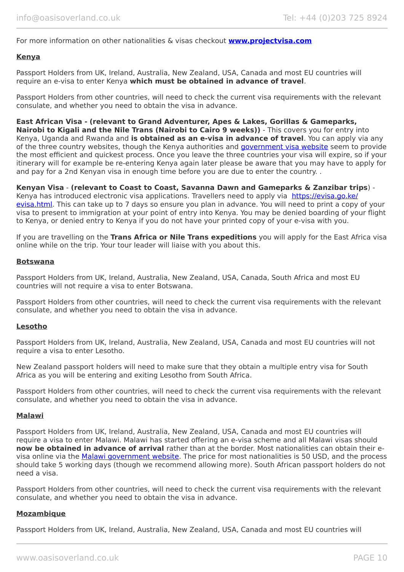For more information on other nationalities & visas checkout **[www.projectvisa.com](http://www.projectvisa.com/)**

#### **Kenya**

Passport Holders from UK, Ireland, Australia, New Zealand, USA, Canada and most EU countries will require an e-visa to enter Kenya **which must be obtained in advance of travel**.

Passport Holders from other countries, will need to check the current visa requirements with the relevant consulate, and whether you need to obtain the visa in advance.

#### **East African Visa - (relevant to Grand Adventurer, Apes & Lakes, Gorillas & Gameparks,**

**Nairobi to Kigali and the Nile Trans (Nairobi to Cairo 9 weeks))** - This covers you for entry into Kenya, Uganda and Rwanda and **is obtained as an e-visa in advance of travel**. You can apply via any of the three country websites, though the Kenya authorities and [government visa website](https://evisa.go.ke/evisa.html) seem to provide the most efficient and quickest process. Once you leave the three countries your visa will expire, so if your itinerary will for example be re-entering Kenya again later please be aware that you may have to apply for and pay for a 2nd Kenyan visa in enough time before you are due to enter the country. .

#### **Kenyan Visa** - **(relevant to Coast to Coast, Savanna Dawn and Gameparks & Zanzibar trips**) -

Kenya has introduced electronic visa applications. Travellers need to apply via [https://evisa.go.ke/](https://evisa.go.ke/evisa.html) [evisa.html](https://evisa.go.ke/evisa.html). This can take up to 7 days so ensure you plan in advance. You will need to print a copy of your visa to present to immigration at your point of entry into Kenya. You may be denied boarding of your flight to Kenya, or denied entry to Kenya if you do not have your printed copy of your e-visa with you.

If you are travelling on the **Trans Africa or Nile Trans expeditions** you will apply for the East Africa visa online while on the trip. Your tour leader will liaise with you about this.

#### **Botswana**

Passport Holders from UK, Ireland, Australia, New Zealand, USA, Canada, South Africa and most EU countries will not require a visa to enter Botswana.

Passport Holders from other countries, will need to check the current visa requirements with the relevant consulate, and whether you need to obtain the visa in advance.

#### **Lesotho**

Passport Holders from UK, Ireland, Australia, New Zealand, USA, Canada and most EU countries will not require a visa to enter Lesotho.

New Zealand passport holders will need to make sure that they obtain a multiple entry visa for South Africa as you will be entering and exiting Lesotho from South Africa.

Passport Holders from other countries, will need to check the current visa requirements with the relevant consulate, and whether you need to obtain the visa in advance.

#### **Malawi**

Passport Holders from UK, Ireland, Australia, New Zealand, USA, Canada and most EU countries will require a visa to enter Malawi. Malawi has started offering an e-visa scheme and all Malawi visas should **now be obtained in advance of arrival** rather than at the border. Most nationalities can obtain their e-visa online via the [Malawi government website.](https://www.evisa.gov.mw/) The price for most nationalities is 50 USD, and the process should take 5 working days (though we recommend allowing more). South African passport holders do not need a visa.

Passport Holders from other countries, will need to check the current visa requirements with the relevant consulate, and whether you need to obtain the visa in advance.

#### **Mozambique**

Passport Holders from UK, Ireland, Australia, New Zealand, USA, Canada and most EU countries will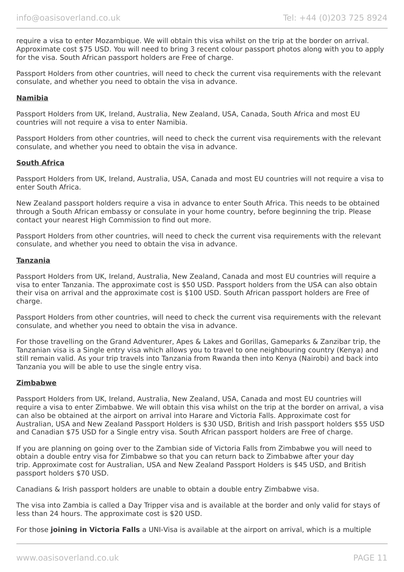require a visa to enter Mozambique. We will obtain this visa whilst on the trip at the border on arrival. Approximate cost \$75 USD. You will need to bring 3 recent colour passport photos along with you to apply for the visa. South African passport holders are Free of charge.

Passport Holders from other countries, will need to check the current visa requirements with the relevant consulate, and whether you need to obtain the visa in advance.

#### **Namibia**

Passport Holders from UK, Ireland, Australia, New Zealand, USA, Canada, South Africa and most EU countries will not require a visa to enter Namibia.

Passport Holders from other countries, will need to check the current visa requirements with the relevant consulate, and whether you need to obtain the visa in advance.

#### **South Africa**

Passport Holders from UK, Ireland, Australia, USA, Canada and most EU countries will not require a visa to enter South Africa.

New Zealand passport holders require a visa in advance to enter South Africa. This needs to be obtained through a South African embassy or consulate in your home country, before beginning the trip. Please contact your nearest High Commission to find out more.

Passport Holders from other countries, will need to check the current visa requirements with the relevant consulate, and whether you need to obtain the visa in advance.

#### **Tanzania**

Passport Holders from UK, Ireland, Australia, New Zealand, Canada and most EU countries will require a visa to enter Tanzania. The approximate cost is \$50 USD. Passport holders from the USA can also obtain their visa on arrival and the approximate cost is \$100 USD. South African passport holders are Free of charge.

Passport Holders from other countries, will need to check the current visa requirements with the relevant consulate, and whether you need to obtain the visa in advance.

For those travelling on the Grand Adventurer, Apes & Lakes and Gorillas, Gameparks & Zanzibar trip, the Tanzanian visa is a Single entry visa which allows you to travel to one neighbouring country (Kenya) and still remain valid. As your trip travels into Tanzania from Rwanda then into Kenya (Nairobi) and back into Tanzania you will be able to use the single entry visa.

#### **Zimbabwe**

Passport Holders from UK, Ireland, Australia, New Zealand, USA, Canada and most EU countries will require a visa to enter Zimbabwe. We will obtain this visa whilst on the trip at the border on arrival, a visa can also be obtained at the airport on arrival into Harare and Victoria Falls. Approximate cost for Australian, USA and New Zealand Passport Holders is \$30 USD, British and Irish passport holders \$55 USD and Canadian \$75 USD for a Single entry visa. South African passport holders are Free of charge.

If you are planning on going over to the Zambian side of Victoria Falls from Zimbabwe you will need to obtain a double entry visa for Zimbabwe so that you can return back to Zimbabwe after your day trip. Approximate cost for Australian, USA and New Zealand Passport Holders is \$45 USD, and British passport holders \$70 USD.

Canadians & Irish passport holders are unable to obtain a double entry Zimbabwe visa.

The visa into Zambia is called a Day Tripper visa and is available at the border and only valid for stays of less than 24 hours. The approximate cost is \$20 USD.

For those **joining in Victoria Falls** a UNI-Visa is available at the airport on arrival, which is a multiple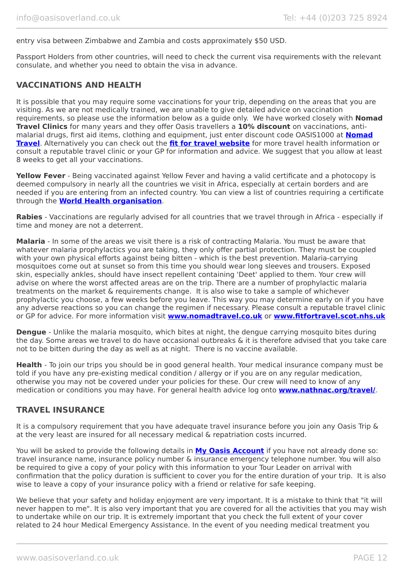#### entry visa between Zimbabwe and Zambia and costs approximately \$50 USD.

Passport Holders from other countries, will need to check the current visa requirements with the relevant consulate, and whether you need to obtain the visa in advance.

# **VACCINATIONS AND HEALTH**

It is possible that you may require some vaccinations for your trip, depending on the areas that you are visiting. As we are not medically trained, we are unable to give detailed advice on vaccination requirements, so please use the information below as a guide only. We have worked closely with **Nomad Travel Clinics** for many years and they offer Oasis travellers a **10% discount** on vaccinations, antimalarial drugs, first aid items, clothing and equipment, just enter discount code OASIS1000 at **[Nomad](http://www.nomadtravel.co.uk/) [Travel](http://www.nomadtravel.co.uk/)**. Alternatively you can check out the **[fit for travel website](https://www.fitfortravel.nhs.uk/home)** for more travel health information or consult a reputable travel clinic or your GP for information and advice. We suggest that you allow at least 8 weeks to get all your vaccinations.

**Yellow Fever** - Being vaccinated against Yellow Fever and having a valid certificate and a photocopy is deemed compulsory in nearly all the countries we visit in Africa, especially at certain borders and are needed if you are entering from an infected country. You can view a list of countries requiring a certificate through the **[World Health organisation](http://www.who.int/ith/ITH_country_list.pdf)**.

**Rabies** - Vaccinations are regularly advised for all countries that we travel through in Africa - especially if time and money are not a deterrent.

**Malaria** - In some of the areas we visit there is a risk of contracting Malaria. You must be aware that whatever malaria prophylactics you are taking, they only offer partial protection. They must be coupled with your own physical efforts against being bitten - which is the best prevention. Malaria-carrying mosquitoes come out at sunset so from this time you should wear long sleeves and trousers. Exposed skin, especially ankles, should have insect repellent containing 'Deet' applied to them. Your crew will advise on where the worst affected areas are on the trip. There are a number of prophylactic malaria treatments on the market & requirements change. It is also wise to take a sample of whichever prophylactic you choose, a few weeks before you leave. This way you may determine early on if you have any adverse reactions so you can change the regimen if necessary. Please consult a reputable travel clinic or GP for advice. For more information visit **[www.nomadtravel.co.uk](http://www.nomadtravel.co.uk/)** or **[www.fitfortravel.scot.nhs.uk](http://www.fitfortravel.scot.nhs.uk/)**

**Dengue** - Unlike the malaria mosquito, which bites at night, the dengue carrying mosquito bites during the day. Some areas we travel to do have occasional outbreaks & it is therefore advised that you take care not to be bitten during the day as well as at night. There is no vaccine available.

**Health** - To join our trips you should be in good general health. Your medical insurance company must be told if you have any pre-existing medical condition / allergy or if you are on any regular medication, otherwise you may not be covered under your policies for these. Our crew will need to know of any medication or conditions you may have. For general health advice log onto **[www.nathnac.org/travel/](http://www.nathnac.org/travel/)**.

#### **TRAVEL INSURANCE**

It is a compulsory requirement that you have adequate travel insurance before you join any Oasis Trip & at the very least are insured for all necessary medical & repatriation costs incurred.

You will be asked to provide the following details in **My [Oasis Account](https://oasisportal.eecsoftware.com/)** if you have not already done so: travel insurance name, insurance policy number & insurance emergency telephone number. You will also be required to give a copy of your policy with this information to your Tour Leader on arrival with confirmation that the policy duration is sufficient to cover you for the entire duration of your trip. It is also wise to leave a copy of your insurance policy with a friend or relative for safe keeping.

We believe that your safety and holiday enjoyment are very important. It is a mistake to think that "it will never happen to me". It is also very important that you are covered for all the activities that you may wish to undertake while on our trip. It is extremely important that you check the full extent of your cover related to 24 hour Medical Emergency Assistance. In the event of you needing medical treatment you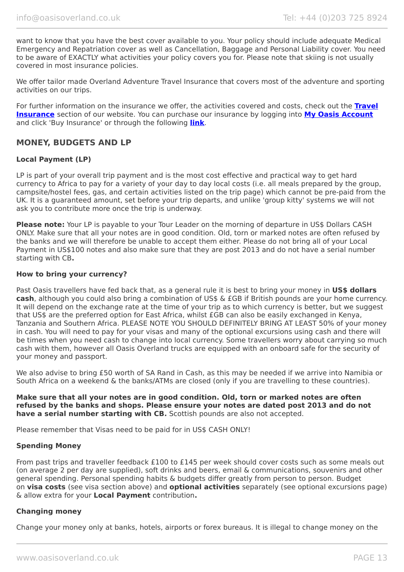want to know that you have the best cover available to you. Your policy should include adequate Medical Emergency and Repatriation cover as well as Cancellation, Baggage and Personal Liability cover. You need to be aware of EXACTLY what activities your policy covers you for. Please note that skiing is not usually covered in most insurance policies.

We offer tailor made Overland Adventure Travel Insurance that covers most of the adventure and sporting activities on our trips.

For further information on the insurance we offer, the activities covered and costs, check out the **[Travel](https://www.oasisoverland.co.uk/travel-insurance) [Insurance](https://www.oasisoverland.co.uk/travel-insurance)** section of our website. You can purchase our insurance by logging into **[My Oasis Account](https://oasisportal.eecsoftware.com/)** and click 'Buy Insurance' or through the following **[link](https://www.campbellirvinedirect.com/oasisoverland/)**.

# **MONEY, BUDGETS AND LP**

#### **Local Payment (LP)**

LP is part of your overall trip payment and is the most cost effective and practical way to get hard currency to Africa to pay for a variety of your day to day local costs (i.e. all meals prepared by the group, campsite/hostel fees, gas, and certain activities listed on the trip page) which cannot be pre-paid from the UK. It is a guaranteed amount, set before your trip departs, and unlike 'group kitty' systems we will not ask you to contribute more once the trip is underway.

**Please note:** Your LP is payable to your Tour Leader on the morning of departure in US\$ Dollars CASH ONLY. Make sure that all your notes are in good condition. Old, torn or marked notes are often refused by the banks and we will therefore be unable to accept them either. Please do not bring all of your Local Payment in US\$100 notes and also make sure that they are post 2013 and do not have a serial number starting with CB**.**

#### **How to bring your currency?**

Past Oasis travellers have fed back that, as a general rule it is best to bring your money in **US\$ dollars cash**, although you could also bring a combination of US\$ & £GB if British pounds are your home currency. It will depend on the exchange rate at the time of your trip as to which currency is better, but we suggest that US\$ are the preferred option for East Africa, whilst £GB can also be easily exchanged in Kenya, Tanzania and Southern Africa. PLEASE NOTE YOU SHOULD DEFINITELY BRING AT LEAST 50% of your money in cash. You will need to pay for your visas and many of the optional excursions using cash and there will be times when you need cash to change into local currency. Some travellers worry about carrying so much cash with them, however all Oasis Overland trucks are equipped with an onboard safe for the security of your money and passport.

We also advise to bring £50 worth of SA Rand in Cash, as this may be needed if we arrive into Namibia or South Africa on a weekend & the banks/ATMs are closed (only if you are travelling to these countries).

#### **Make sure that all your notes are in good condition. Old, torn or marked notes are often refused by the banks and shops. Please ensure your notes are dated post 2013 and do not have a serial number starting with CB.** Scottish pounds are also not accepted.

Please remember that Visas need to be paid for in US\$ CASH ONLY!

#### **Spending Money**

From past trips and traveller feedback £100 to £145 per week should cover costs such as some meals out (on average 2 per day are supplied), soft drinks and beers, email & communications, souvenirs and other general spending. Personal spending habits & budgets differ greatly from person to person. Budget on **visa costs** (see visa section above) and **optional activities** separately (see optional excursions page) & allow extra for your **Local Payment** contribution**.**

#### **Changing money**

Change your money only at banks, hotels, airports or forex bureaus. It is illegal to change money on the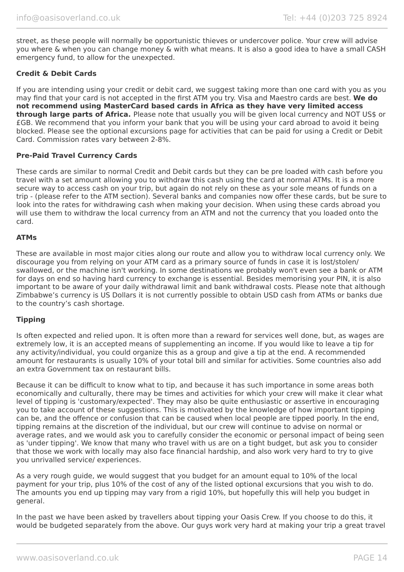street, as these people will normally be opportunistic thieves or undercover police. Your crew will advise you where & when you can change money & with what means. It is also a good idea to have a small CASH emergency fund, to allow for the unexpected.

#### **Credit & Debit Cards**

If you are intending using your credit or debit card, we suggest taking more than one card with you as you may find that your card is not accepted in the first ATM you try. Visa and Maestro cards are best. **We do not recommend using MasterCard based cards in Africa as they have very limited access through large parts of Africa.** Please note that usually you will be given local currency and NOT US\$ or £GB. We recommend that you inform your bank that you will be using your card abroad to avoid it being blocked. Please see the optional excursions page for activities that can be paid for using a Credit or Debit Card. Commission rates vary between 2-8%.

#### **Pre-Paid Travel Currency Cards**

These cards are similar to normal Credit and Debit cards but they can be pre loaded with cash before you travel with a set amount allowing you to withdraw this cash using the card at normal ATMs. It is a more secure way to access cash on your trip, but again do not rely on these as your sole means of funds on a trip - (please refer to the ATM section). Several banks and companies now offer these cards, but be sure to look into the rates for withdrawing cash when making your decision. When using these cards abroad you will use them to withdraw the local currency from an ATM and not the currency that you loaded onto the card.

#### **ATMs**

These are available in most major cities along our route and allow you to withdraw local currency only. We discourage you from relying on your ATM card as a primary source of funds in case it is lost/stolen/ swallowed, or the machine isn't working. In some destinations we probably won't even see a bank or ATM for days on end so having hard currency to exchange is essential. Besides memorising your PIN, it is also important to be aware of your daily withdrawal limit and bank withdrawal costs. Please note that although Zimbabwe's currency is US Dollars it is not currently possible to obtain USD cash from ATMs or banks due to the country's cash shortage.

#### **Tipping**

Is often expected and relied upon. It is often more than a reward for services well done, but, as wages are extremely low, it is an accepted means of supplementing an income. If you would like to leave a tip for any activity/individual, you could organize this as a group and give a tip at the end. A recommended amount for restaurants is usually 10% of your total bill and similar for activities. Some countries also add an extra Government tax on restaurant bills.

Because it can be difficult to know what to tip, and because it has such importance in some areas both economically and culturally, there may be times and activities for which your crew will make it clear what level of tipping is 'customary/expected'. They may also be quite enthusiastic or assertive in encouraging you to take account of these suggestions. This is motivated by the knowledge of how important tipping can be, and the offence or confusion that can be caused when local people are tipped poorly. In the end, tipping remains at the discretion of the individual, but our crew will continue to advise on normal or average rates, and we would ask you to carefully consider the economic or personal impact of being seen as 'under tipping'. We know that many who travel with us are on a tight budget, but ask you to consider that those we work with locally may also face financial hardship, and also work very hard to try to give you unrivalled service/ experiences.

As a very rough guide, we would suggest that you budget for an amount equal to 10% of the local payment for your trip, plus 10% of the cost of any of the listed optional excursions that you wish to do. The amounts you end up tipping may vary from a rigid 10%, but hopefully this will help you budget in general.

In the past we have been asked by travellers about tipping your Oasis Crew. If you choose to do this, it would be budgeted separately from the above. Our guys work very hard at making your trip a great travel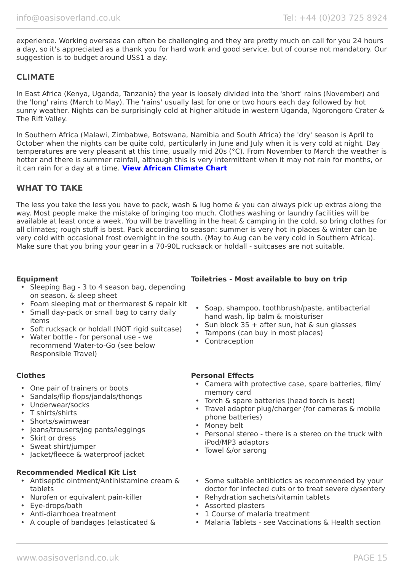experience. Working overseas can often be challenging and they are pretty much on call for you 24 hours a day, so it's appreciated as a thank you for hard work and good service, but of course not mandatory. Our suggestion is to budget around US\$1 a day.

# **CLIMATE**

In East Africa (Kenya, Uganda, Tanzania) the year is loosely divided into the 'short' rains (November) and the 'long' rains (March to May). The 'rains' usually last for one or two hours each day followed by hot sunny weather. Nights can be surprisingly cold at higher altitude in western Uganda, Ngorongoro Crater & The Rift Valley.

In Southern Africa (Malawi, Zimbabwe, Botswana, Namibia and South Africa) the 'dry' season is April to October when the nights can be quite cold, particularly in June and July when it is very cold at night. Day temperatures are very pleasant at this time, usually mid 20s (°C). From November to March the weather is hotter and there is summer rainfall, although this is very intermittent when it may not rain for months, or it can rain for a day at a time. **[View African Climate Chart](https://www.oasisoverland.co.uk/africa-climate-chart)**

# **WHAT TO TAKE**

The less you take the less you have to pack, wash & lug home & you can always pick up extras along the way. Most people make the mistake of bringing too much. Clothes washing or laundry facilities will be available at least once a week. You will be travelling in the heat & camping in the cold, so bring clothes for all climates; rough stuff is best. Pack according to season: summer is very hot in places & winter can be very cold with occasional frost overnight in the south. (May to Aug can be very cold in Southern Africa). Make sure that you bring your gear in a 70-90L rucksack or holdall - suitcases are not suitable.

- Sleeping Bag 3 to 4 season bag, depending on season, & sleep sheet
- Foam sleeping mat or thermarest & repair kit
- Small day-pack or small bag to carry daily items
- Soft rucksack or holdall (NOT rigid suitcase)
- Water bottle for personal use we recommend Water-to-Go (see below Responsible Travel)

- One pair of trainers or boots
- Sandals/flip flops/jandals/thongs
- Underwear/socks
- T shirts/shirts
- Shorts/swimwear
- Jeans/trousers/jog pants/leggings
- Skirt or dress
- Sweat shirt/jumper
- Jacket/fleece & waterproof jacket

#### **Recommended Medical Kit List**

- Antiseptic ointment/Antihistamine cream & tablets
- Nurofen or equivalent pain-killer
- Eye-drops/bath
- Anti-diarrhoea treatment
- A couple of bandages (elasticated &

# **Equipment Toiletries - Most available to buy on trip**

- Soap, shampoo, toothbrush/paste, antibacterial hand wash, lip balm & moisturiser
- Sun block  $35 +$  after sun, hat & sun glasses
- Tampons (can buy in most places)
- Contraception

#### **Clothes Personal Effects**

- Camera with protective case, spare batteries, film/ memory card
- Torch & spare batteries (head torch is best)
- Travel adaptor plug/charger (for cameras & mobile phone batteries)
- Money belt
- Personal stereo there is a stereo on the truck with iPod/MP3 adaptors
- Towel &/or sarong
- Some suitable antibiotics as recommended by your doctor for infected cuts or to treat severe dysentery
- Rehydration sachets/vitamin tablets
- Assorted plasters
- 1 Course of malaria treatment
- Malaria Tablets see Vaccinations & Health section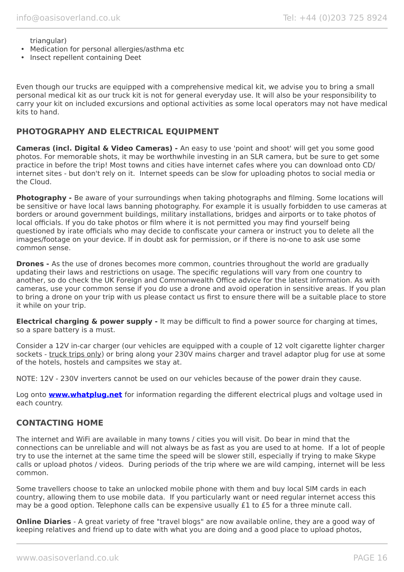triangular)

- Medication for personal allergies/asthma etc
- Insect repellent containing Deet

Even though our trucks are equipped with a comprehensive medical kit, we advise you to bring a small personal medical kit as our truck kit is not for general everyday use. It will also be your responsibility to carry your kit on included excursions and optional activities as some local operators may not have medical kits to hand.

# **PHOTOGRAPHY AND ELECTRICAL EQUIPMENT**

**Cameras (incl. Digital & Video Cameras) -** An easy to use 'point and shoot' will get you some good photos. For memorable shots, it may be worthwhile investing in an SLR camera, but be sure to get some practice in before the trip! Most towns and cities have internet cafes where you can download onto CD/ internet sites - but don't rely on it. Internet speeds can be slow for uploading photos to social media or the Cloud.

**Photography -** Be aware of your surroundings when taking photographs and filming. Some locations will be sensitive or have local laws banning photography. For example it is usually forbidden to use cameras at borders or around government buildings, military installations, bridges and airports or to take photos of local officials. If you do take photos or film where it is not permitted you may find yourself being questioned by irate officials who may decide to confiscate your camera or instruct you to delete all the images/footage on your device. If in doubt ask for permission, or if there is no-one to ask use some common sense.

**Drones** - As the use of drones becomes more common, countries throughout the world are gradually updating their laws and restrictions on usage. The specific regulations will vary from one country to another, so do check the UK Foreign and Commonwealth Office advice for the latest information. As with cameras, use your common sense if you do use a drone and avoid operation in sensitive areas. If you plan to bring a drone on your trip with us please contact us first to ensure there will be a suitable place to store it while on your trip.

**Electrical charging & power supply -** It may be difficult to find a power source for charging at times, so a spare battery is a must.

Consider a 12V in-car charger (our vehicles are equipped with a couple of 12 volt cigarette lighter charger sockets - truck trips only) or bring along your 230V mains charger and travel adaptor plug for use at some of the hotels, hostels and campsites we stay at.

NOTE: 12V - 230V inverters cannot be used on our vehicles because of the power drain they cause.

Log onto **[www.whatplug.net](http://www.whatplug.net/)** for information regarding the different electrical plugs and voltage used in each country.

# **CONTACTING HOME**

The internet and WiFi are available in many towns / cities you will visit. Do bear in mind that the connections can be unreliable and will not always be as fast as you are used to at home. If a lot of people try to use the internet at the same time the speed will be slower still, especially if trying to make Skype calls or upload photos / videos. During periods of the trip where we are wild camping, internet will be less common.

Some travellers choose to take an unlocked mobile phone with them and buy local SIM cards in each country, allowing them to use mobile data. If you particularly want or need regular internet access this may be a good option. Telephone calls can be expensive usually £1 to £5 for a three minute call.

**Online Diaries** - A great variety of free "travel blogs" are now available online, they are a good way of keeping relatives and friend up to date with what you are doing and a good place to upload photos,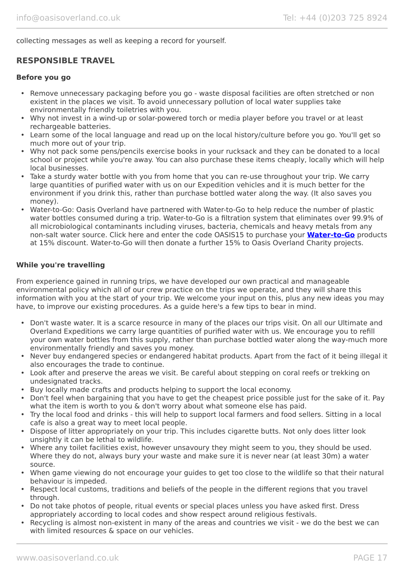collecting messages as well as keeping a record for yourself.

# **RESPONSIBLE TRAVEL**

#### **Before you go**

- Remove unnecessary packaging before you go waste disposal facilities are often stretched or non existent in the places we visit. To avoid unnecessary pollution of local water supplies take environmentally friendly toiletries with you.
- Why not invest in a wind-up or solar-powered torch or media player before you travel or at least rechargeable batteries.
- Learn some of the local language and read up on the local history/culture before you go. You'll get so much more out of your trip.
- Why not pack some pens/pencils exercise books in your rucksack and they can be donated to a local school or project while you're away. You can also purchase these items cheaply, locally which will help local businesses.
- Take a sturdy water bottle with you from home that you can re-use throughout your trip. We carry large quantities of purified water with us on our Expedition vehicles and it is much better for the environment if you drink this, rather than purchase bottled water along the way. (It also saves you money).
- Water-to-Go: Oasis Overland have partnered with Water-to-Go to help reduce the number of plastic water bottles consumed during a trip. Water-to-Go is a filtration system that eliminates over 99.9% of all microbiological contaminants including viruses, bacteria, chemicals and heavy metals from any non-salt water source. Click here and enter the code OASIS15 to purchase your **[Water-to-Go](https://watertogo.eu/partnerships/oasisoverland/)** products at 15% discount. Water-to-Go will then donate a further 15% to Oasis Overland Charity projects.

#### **While you're travelling**

From experience gained in running trips, we have developed our own practical and manageable environmental policy which all of our crew practice on the trips we operate, and they will share this information with you at the start of your trip. We welcome your input on this, plus any new ideas you may have, to improve our existing procedures. As a guide here's a few tips to bear in mind.

- Don't waste water. It is a scarce resource in many of the places our trips visit. On all our Ultimate and Overland Expeditions we carry large quantities of purified water with us. We encourage you to refill your own water bottles from this supply, rather than purchase bottled water along the way-much more environmentally friendly and saves you money.
- Never buy endangered species or endangered habitat products. Apart from the fact of it being illegal it also encourages the trade to continue.
- Look after and preserve the areas we visit. Be careful about stepping on coral reefs or trekking on undesignated tracks.
- Buy locally made crafts and products helping to support the local economy.
- Don't feel when bargaining that you have to get the cheapest price possible just for the sake of it. Pay what the item is worth to you & don't worry about what someone else has paid.
- Try the local food and drinks this will help to support local farmers and food sellers. Sitting in a local cafe is also a great way to meet local people.
- Dispose of litter appropriately on your trip. This includes cigarette butts. Not only does litter look unsightly it can be lethal to wildlife.
- Where any toilet facilities exist, however unsavoury they might seem to you, they should be used. Where they do not, always bury your waste and make sure it is never near (at least 30m) a water source.
- When game viewing do not encourage your guides to get too close to the wildlife so that their natural behaviour is impeded.
- Respect local customs, traditions and beliefs of the people in the different regions that you travel through.
- Do not take photos of people, ritual events or special places unless you have asked first. Dress appropriately according to local codes and show respect around religious festivals.
- Recycling is almost non-existent in many of the areas and countries we visit we do the best we can with limited resources & space on our vehicles.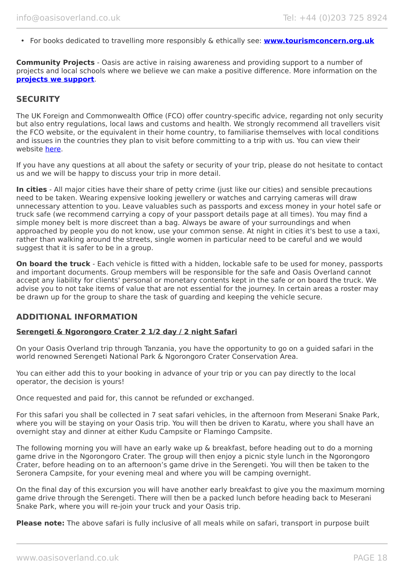• For books dedicated to travelling more responsibly & ethically see: **[www.tourismconcern.org.uk](https://www.tourismconcern.org.uk/)**

**Community Projects** - Oasis are active in raising awareness and providing support to a number of projects and local schools where we believe we can make a positive difference. More information on the **[projects we support](https://www.oasisoverland.co.uk/responsible-travel/charities-we-support)**.

# **SECURITY**

The UK Foreign and Commonwealth Office (FCO) offer country-specific advice, regarding not only security but also entry regulations, local laws and customs and health. We strongly recommend all travellers visit the FCO website, or the equivalent in their home country, to familiarise themselves with local conditions and issues in the countries they plan to visit before committing to a trip with us. You can view their website [here.](https://www.gov.uk/foreign-travel-advice)

If you have any questions at all about the safety or security of your trip, please do not hesitate to contact us and we will be happy to discuss your trip in more detail.

**In cities** - All major cities have their share of petty crime (just like our cities) and sensible precautions need to be taken. Wearing expensive looking jewellery or watches and carrying cameras will draw unnecessary attention to you. Leave valuables such as passports and excess money in your hotel safe or truck safe (we recommend carrying a copy of your passport details page at all times). You may find a simple money belt is more discreet than a bag. Always be aware of your surroundings and when approached by people you do not know, use your common sense. At night in cities it's best to use a taxi, rather than walking around the streets, single women in particular need to be careful and we would suggest that it is safer to be in a group.

**On board the truck** - Each vehicle is fitted with a hidden, lockable safe to be used for money, passports and important documents. Group members will be responsible for the safe and Oasis Overland cannot accept any liability for clients' personal or monetary contents kept in the safe or on board the truck. We advise you to not take items of value that are not essential for the journey. In certain areas a roster may be drawn up for the group to share the task of guarding and keeping the vehicle secure.

#### **ADDITIONAL INFORMATION**

#### **Serengeti & Ngorongoro Crater 2 1/2 day / 2 night Safari**

On your Oasis Overland trip through Tanzania, you have the opportunity to go on a guided safari in the world renowned Serengeti National Park & Ngorongoro Crater Conservation Area.

You can either add this to your booking in advance of your trip or you can pay directly to the local operator, the decision is yours!

Once requested and paid for, this cannot be refunded or exchanged.

For this safari you shall be collected in 7 seat safari vehicles, in the afternoon from Meserani Snake Park, where you will be staying on your Oasis trip. You will then be driven to Karatu, where you shall have an overnight stay and dinner at either Kudu Campsite or Flamingo Campsite.

The following morning you will have an early wake up & breakfast, before heading out to do a morning game drive in the Ngorongoro Crater. The group will then enjoy a picnic style lunch in the Ngorongoro Crater, before heading on to an afternoon's game drive in the Serengeti. You will then be taken to the Seronera Campsite, for your evening meal and where you will be camping overnight.

On the final day of this excursion you will have another early breakfast to give you the maximum morning game drive through the Serengeti. There will then be a packed lunch before heading back to Meserani Snake Park, where you will re-join your truck and your Oasis trip.

**Please note:** The above safari is fully inclusive of all meals while on safari, transport in purpose built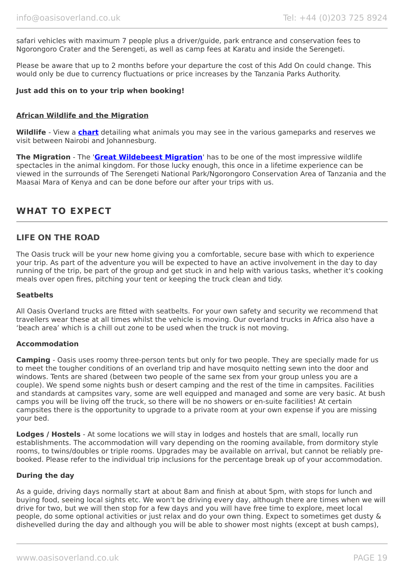safari vehicles with maximum 7 people plus a driver/guide, park entrance and conservation fees to Ngorongoro Crater and the Serengeti, as well as camp fees at Karatu and inside the Serengeti.

Please be aware that up to 2 months before your departure the cost of this Add On could change. This would only be due to currency fluctuations or price increases by the Tanzania Parks Authority.

#### **Just add this on to your trip when booking!**

#### **African Wildlife and the Migration**

**Wildlife** - View a **[chart](https://www.oasisoverland.co.uk/african-wildlife-chart)** detailing what animals you may see in the various gameparks and reserves we visit between Nairobi and Johannesburg.

**The Migration** - The '**[Great Wildebeest Migration](https://www.oasisoverland.co.uk/the-great-wildebeest-migration)**' has to be one of the most impressive wildlife spectacles in the animal kingdom. For those lucky enough, this once in a lifetime experience can be viewed in the surrounds of The Serengeti National Park/Ngorongoro Conservation Area of Tanzania and the Maasai Mara of Kenya and can be done before our after your trips with us.

# **WHAT TO EXPECT**

#### **LIFE ON THE ROAD**

The Oasis truck will be your new home giving you a comfortable, secure base with which to experience your trip. As part of the adventure you will be expected to have an active involvement in the day to day running of the trip, be part of the group and get stuck in and help with various tasks, whether it's cooking meals over open fires, pitching your tent or keeping the truck clean and tidy.

#### **Seatbelts**

All Oasis Overland trucks are fitted with seatbelts. For your own safety and security we recommend that travellers wear these at all times whilst the vehicle is moving. Our overland trucks in Africa also have a 'beach area' which is a chill out zone to be used when the truck is not moving.

#### **Accommodation**

**Camping** - Oasis uses roomy three-person tents but only for two people. They are specially made for us to meet the tougher conditions of an overland trip and have mosquito netting sewn into the door and windows. Tents are shared (between two people of the same sex from your group unless you are a couple). We spend some nights bush or desert camping and the rest of the time in campsites. Facilities and standards at campsites vary, some are well equipped and managed and some are very basic. At bush camps you will be living off the truck, so there will be no showers or en-suite facilities! At certain campsites there is the opportunity to upgrade to a private room at your own expense if you are missing your bed.

**Lodges / Hostels** - At some locations we will stay in lodges and hostels that are small, locally run establishments. The accommodation will vary depending on the rooming available, from dormitory style rooms, to twins/doubles or triple rooms. Upgrades may be available on arrival, but cannot be reliably prebooked. Please refer to the individual trip inclusions for the percentage break up of your accommodation.

#### **During the day**

As a guide, driving days normally start at about 8am and finish at about 5pm, with stops for lunch and buying food, seeing local sights etc. We won't be driving every day, although there are times when we will drive for two, but we will then stop for a few days and you will have free time to explore, meet local people, do some optional activities or just relax and do your own thing. Expect to sometimes get dusty & dishevelled during the day and although you will be able to shower most nights (except at bush camps),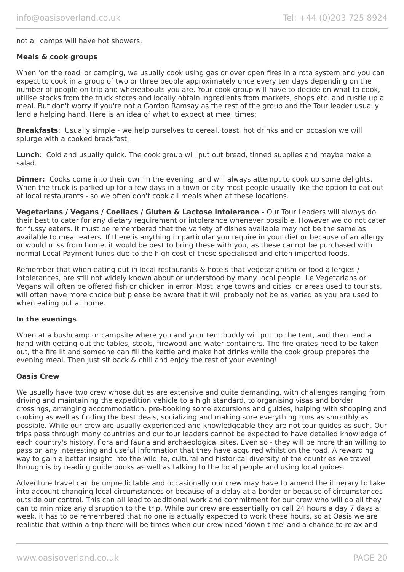not all camps will have hot showers.

#### **Meals & cook groups**

When 'on the road' or camping, we usually cook using gas or over open fires in a rota system and you can expect to cook in a group of two or three people approximately once every ten days depending on the number of people on trip and whereabouts you are. Your cook group will have to decide on what to cook, utilise stocks from the truck stores and locally obtain ingredients from markets, shops etc. and rustle up a meal. But don't worry if you're not a Gordon Ramsay as the rest of the group and the Tour leader usually lend a helping hand. Here is an idea of what to expect at meal times:

**Breakfasts**: Usually simple - we help ourselves to cereal, toast, hot drinks and on occasion we will splurge with a cooked breakfast.

**Lunch**: Cold and usually quick. The cook group will put out bread, tinned supplies and maybe make a salad.

**Dinner:** Cooks come into their own in the evening, and will always attempt to cook up some delights. When the truck is parked up for a few days in a town or city most people usually like the option to eat out at local restaurants - so we often don't cook all meals when at these locations.

**Vegetarians / Vegans / Coeliacs / Gluten & Lactose intolerance -** Our Tour Leaders will always do their best to cater for any dietary requirement or intolerance whenever possible. However we do not cater for fussy eaters. It must be remembered that the variety of dishes available may not be the same as available to meat eaters. If there is anything in particular you require in your diet or because of an allergy or would miss from home, it would be best to bring these with you, as these cannot be purchased with normal Local Payment funds due to the high cost of these specialised and often imported foods.

Remember that when eating out in local restaurants & hotels that vegetarianism or food allergies / intolerances, are still not widely known about or understood by many local people. i.e Vegetarians or Vegans will often be offered fish or chicken in error. Most large towns and cities, or areas used to tourists, will often have more choice but please be aware that it will probably not be as varied as you are used to when eating out at home.

#### **In the evenings**

When at a bushcamp or campsite where you and your tent buddy will put up the tent, and then lend a hand with getting out the tables, stools, firewood and water containers. The fire grates need to be taken out, the fire lit and someone can fill the kettle and make hot drinks while the cook group prepares the evening meal. Then just sit back & chill and enjoy the rest of your evening!

#### **Oasis Crew**

We usually have two crew whose duties are extensive and quite demanding, with challenges ranging from driving and maintaining the expedition vehicle to a high standard, to organising visas and border crossings, arranging accommodation, pre-booking some excursions and guides, helping with shopping and cooking as well as finding the best deals, socializing and making sure everything runs as smoothly as possible. While our crew are usually experienced and knowledgeable they are not tour guides as such. Our trips pass through many countries and our tour leaders cannot be expected to have detailed knowledge of each country's history, flora and fauna and archaeological sites. Even so - they will be more than willing to pass on any interesting and useful information that they have acquired whilst on the road. A rewarding way to gain a better insight into the wildlife, cultural and historical diversity of the countries we travel through is by reading guide books as well as talking to the local people and using local guides.

Adventure travel can be unpredictable and occasionally our crew may have to amend the itinerary to take into account changing local circumstances or because of a delay at a border or because of circumstances outside our control. This can all lead to additional work and commitment for our crew who will do all they can to minimize any disruption to the trip. While our crew are essentially on call 24 hours a day 7 days a week, it has to be remembered that no one is actually expected to work these hours, so at Oasis we are realistic that within a trip there will be times when our crew need 'down time' and a chance to relax and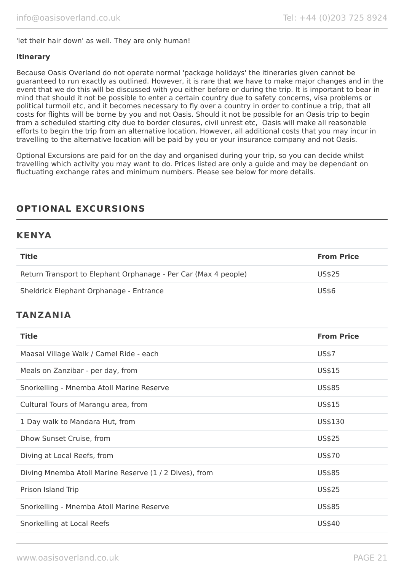'let their hair down' as well. They are only human!

#### **Itinerary**

Because Oasis Overland do not operate normal 'package holidays' the itineraries given cannot be guaranteed to run exactly as outlined. However, it is rare that we have to make major changes and in the event that we do this will be discussed with you either before or during the trip. It is important to bear in mind that should it not be possible to enter a certain country due to safety concerns, visa problems or political turmoil etc, and it becomes necessary to fly over a country in order to continue a trip, that all costs for flights will be borne by you and not Oasis. Should it not be possible for an Oasis trip to begin from a scheduled starting city due to border closures, civil unrest etc, Oasis will make all reasonable efforts to begin the trip from an alternative location. However, all additional costs that you may incur in travelling to the alternative location will be paid by you or your insurance company and not Oasis.

Optional Excursions are paid for on the day and organised during your trip, so you can decide whilst travelling which activity you may want to do. Prices listed are only a guide and may be dependant on fluctuating exchange rates and minimum numbers. Please see below for more details.

# **OPTIONAL EXCURSIONS**

# **KENYA**

| <b>Title</b>                                                    | <b>From Price</b> |
|-----------------------------------------------------------------|-------------------|
| Return Transport to Elephant Orphanage - Per Car (Max 4 people) | <b>US\$25</b>     |
| Sheldrick Elephant Orphanage - Entrance                         | <b>US\$6</b>      |
| <b>TANZANIA</b>                                                 |                   |
| <b>Title</b>                                                    | <b>From Price</b> |
| Maasai Village Walk / Camel Ride - each                         | <b>US\$7</b>      |
| Meals on Zanzibar - per day, from                               | US\$15            |
| Snorkelling - Mnemba Atoll Marine Reserve                       | US\$85            |
| Cultural Tours of Marangu area, from                            | US\$15            |
| 1 Day walk to Mandara Hut, from                                 | US\$130           |
| Dhow Sunset Cruise, from                                        | US\$25            |
| Diving at Local Reefs, from                                     | US\$70            |
| Diving Mnemba Atoll Marine Reserve (1 / 2 Dives), from          | US\$85            |
| Prison Island Trip                                              | US\$25            |
| Snorkelling - Mnemba Atoll Marine Reserve                       | <b>US\$85</b>     |
| Snorkelling at Local Reefs                                      | US\$40            |
|                                                                 |                   |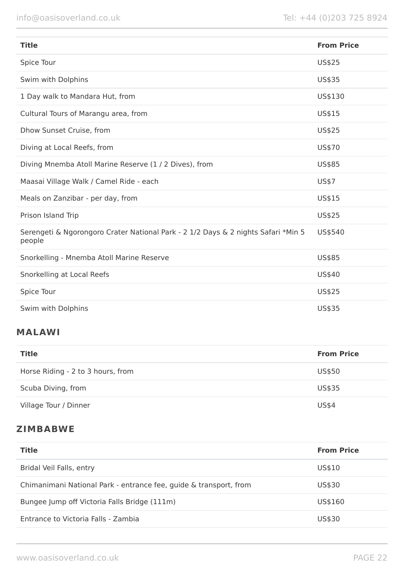info@oasisoverland.co.uk Tel: +44 (0)203 725 8924

| <b>Title</b>                                                                                | <b>From Price</b> |
|---------------------------------------------------------------------------------------------|-------------------|
| Spice Tour                                                                                  | US\$25            |
| Swim with Dolphins                                                                          | US\$35            |
| 1 Day walk to Mandara Hut, from                                                             | US\$130           |
| Cultural Tours of Marangu area, from                                                        | US\$15            |
| Dhow Sunset Cruise, from                                                                    | <b>US\$25</b>     |
| Diving at Local Reefs, from                                                                 | US\$70            |
| Diving Mnemba Atoll Marine Reserve (1 / 2 Dives), from                                      | US\$85            |
| Maasai Village Walk / Camel Ride - each                                                     | <b>US\$7</b>      |
| Meals on Zanzibar - per day, from                                                           | US\$15            |
| Prison Island Trip                                                                          | <b>US\$25</b>     |
| Serengeti & Ngorongoro Crater National Park - 2 1/2 Days & 2 nights Safari *Min 5<br>people | US\$540           |
| Snorkelling - Mnemba Atoll Marine Reserve                                                   | US\$85            |
| Snorkelling at Local Reefs                                                                  | US\$40            |
| Spice Tour                                                                                  | <b>US\$25</b>     |
| Swim with Dolphins                                                                          | US\$35            |

# **MALAWI**

| <b>Title</b>                      | <b>From Price</b> |
|-----------------------------------|-------------------|
| Horse Riding - 2 to 3 hours, from | US\$50            |
| Scuba Diving, from                | US\$35            |
| Village Tour / Dinner             | US\$4             |

# **ZIMBABWE**

| <b>Title</b>                                                      | <b>From Price</b> |
|-------------------------------------------------------------------|-------------------|
| Bridal Veil Falls, entry                                          | US\$10            |
| Chimanimani National Park - entrance fee, guide & transport, from | US\$30            |
| Bungee Jump off Victoria Falls Bridge (111m)                      | US\$160           |
| Entrance to Victoria Falls - Zambia                               | US\$30            |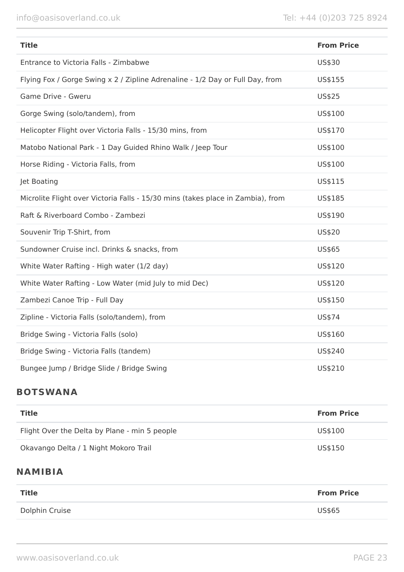| <b>Title</b>                                                                    | <b>From Price</b> |
|---------------------------------------------------------------------------------|-------------------|
| Entrance to Victoria Falls - Zimbabwe                                           | US\$30            |
| Flying Fox / Gorge Swing x 2 / Zipline Adrenaline - 1/2 Day or Full Day, from   | US\$155           |
| Game Drive - Gweru                                                              | US\$25            |
| Gorge Swing (solo/tandem), from                                                 | US\$100           |
| Helicopter Flight over Victoria Falls - 15/30 mins, from                        | US\$170           |
| Matobo National Park - 1 Day Guided Rhino Walk / Jeep Tour                      | US\$100           |
| Horse Riding - Victoria Falls, from                                             | US\$100           |
| Jet Boating                                                                     | US\$115           |
| Microlite Flight over Victoria Falls - 15/30 mins (takes place in Zambia), from | US\$185           |
| Raft & Riverboard Combo - Zambezi                                               | US\$190           |
| Souvenir Trip T-Shirt, from                                                     | US\$20            |
| Sundowner Cruise incl. Drinks & snacks, from                                    | US\$65            |
| White Water Rafting - High water (1/2 day)                                      | US\$120           |
| White Water Rafting - Low Water (mid July to mid Dec)                           | US\$120           |
| Zambezi Canoe Trip - Full Day                                                   | US\$150           |
| Zipline - Victoria Falls (solo/tandem), from                                    | US\$74            |
| Bridge Swing - Victoria Falls (solo)                                            | US\$160           |
| Bridge Swing - Victoria Falls (tandem)                                          | US\$240           |
| Bungee Jump / Bridge Slide / Bridge Swing                                       | US\$210           |

# **BOTSWANA**

| <b>Title</b>                                  | <b>From Price</b> |
|-----------------------------------------------|-------------------|
| Flight Over the Delta by Plane - min 5 people | US\$100           |
| Okavango Delta / 1 Night Mokoro Trail         | US\$150           |

# **NAMIBIA**

| <b>Title</b>   | <b>From Price</b> |
|----------------|-------------------|
| Dolphin Cruise | US\$65            |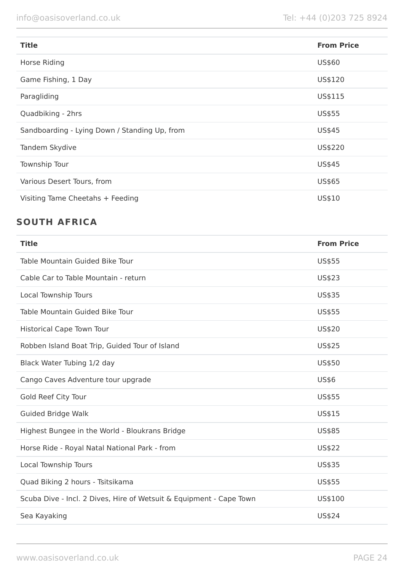| <b>Title</b>                                  | <b>From Price</b> |
|-----------------------------------------------|-------------------|
| Horse Riding                                  | US\$60            |
| Game Fishing, 1 Day                           | US\$120           |
| Paragliding                                   | US\$115           |
| Quadbiking - 2hrs                             | <b>US\$55</b>     |
| Sandboarding - Lying Down / Standing Up, from | US\$45            |
| Tandem Skydive                                | US\$220           |
| Township Tour                                 | US\$45            |
| Various Desert Tours, from                    | US\$65            |
| Visiting Tame Cheetahs + Feeding              | US\$10            |

# **SOUTH AFRICA**

| <b>Title</b>                                                        | <b>From Price</b> |
|---------------------------------------------------------------------|-------------------|
| Table Mountain Guided Bike Tour                                     | <b>US\$55</b>     |
| Cable Car to Table Mountain - return                                | US\$23            |
| Local Township Tours                                                | US\$35            |
| Table Mountain Guided Bike Tour                                     | <b>US\$55</b>     |
| <b>Historical Cape Town Tour</b>                                    | US\$20            |
| Robben Island Boat Trip, Guided Tour of Island                      | US\$25            |
| Black Water Tubing 1/2 day                                          | US\$50            |
| Cango Caves Adventure tour upgrade                                  | <b>US\$6</b>      |
| Gold Reef City Tour                                                 | US\$55            |
| <b>Guided Bridge Walk</b>                                           | US\$15            |
| Highest Bungee in the World - Bloukrans Bridge                      | <b>US\$85</b>     |
| Horse Ride - Royal Natal National Park - from                       | <b>US\$22</b>     |
| Local Township Tours                                                | US\$35            |
| Quad Biking 2 hours - Tsitsikama                                    | <b>US\$55</b>     |
| Scuba Dive - Incl. 2 Dives, Hire of Wetsuit & Equipment - Cape Town | US\$100           |
| Sea Kayaking                                                        | <b>US\$24</b>     |
|                                                                     |                   |